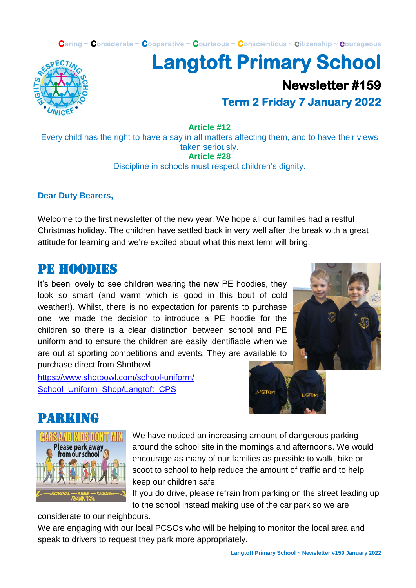**Caring ~ Considerate ~ Cooperative ~ Courteous ~ Conscientious ~ Citizenship ~ Courageous**



## **Langtoft Primary School Newsletter #159 Term 2 Friday 7 January 2022**

**Article #12**

Every child has the right to have a say in all matters affecting them, and to have their views taken seriously. **Article #28**

Discipline in schools must respect children's dignity.

#### **Dear Duty Bearers,**

Welcome to the first newsletter of the new year. We hope all our families had a restful Christmas holiday. The children have settled back in very well after the break with a great attitude for learning and we're excited about what this next term will bring.

### PE HOODIES

It's been lovely to see children wearing the new PE hoodies, they look so smart (and warm which is good in this bout of cold weather!). Whilst, there is no expectation for parents to purchase one, we made the decision to introduce a PE hoodie for the children so there is a clear distinction between school and PE uniform and to ensure the children are easily identifiable when we are out at sporting competitions and events. They are available to purchase direct from Shotbowl

[https://www.shotbowl.com/school-uniform/](https://www.shotbowl.com/school-uniform/%0bSchool_Uniform_Shop/Langtoft_CPS) [School\\_Uniform\\_Shop/Langtoft\\_CPS](https://www.shotbowl.com/school-uniform/%0bSchool_Uniform_Shop/Langtoft_CPS)





### Parking



We have noticed an increasing amount of dangerous parking around the school site in the mornings and afternoons. We would encourage as many of our families as possible to walk, bike or scoot to school to help reduce the amount of traffic and to help keep our children safe.

If you do drive, please refrain from parking on the street leading up to the school instead making use of the car park so we are

considerate to our neighbours.

We are engaging with our local PCSOs who will be helping to monitor the local area and speak to drivers to request they park more appropriately.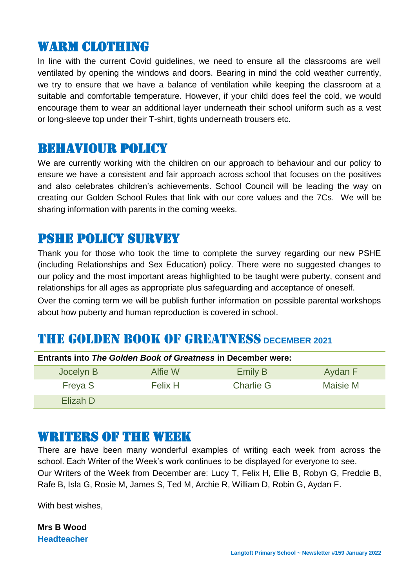### Warm clothing

In line with the current Covid guidelines, we need to ensure all the classrooms are well ventilated by opening the windows and doors. Bearing in mind the cold weather currently, we try to ensure that we have a balance of ventilation while keeping the classroom at a suitable and comfortable temperature. However, if your child does feel the cold, we would encourage them to wear an additional layer underneath their school uniform such as a vest or long-sleeve top under their T-shirt, tights underneath trousers etc.

### Behaviour policy

We are currently working with the children on our approach to behaviour and our policy to ensure we have a consistent and fair approach across school that focuses on the positives and also celebrates children's achievements. School Council will be leading the way on creating our Golden School Rules that link with our core values and the 7Cs. We will be sharing information with parents in the coming weeks.

### Pshe policy survey

Thank you for those who took the time to complete the survey regarding our new PSHE (including Relationships and Sex Education) policy. There were no suggested changes to our policy and the most important areas highlighted to be taught were puberty, consent and relationships for all ages as appropriate plus safeguarding and acceptance of oneself.

Over the coming term we will be publish further information on possible parental workshops about how puberty and human reproduction is covered in school.

### THE GOLDEN BOOK OF GREATNESS **DECEMBER 2021**

| <b>Entrants into The Golden Book of Greatness in December were:</b> |                |                  |          |  |
|---------------------------------------------------------------------|----------------|------------------|----------|--|
| Jocelyn B                                                           | Alfie W        | <b>Emily B</b>   | Aydan F  |  |
| Freya S                                                             | <b>Felix H</b> | <b>Charlie G</b> | Maisie M |  |
| Elizah D                                                            |                |                  |          |  |

### WRITERS OF THE WEEK

There are have been many wonderful examples of writing each week from across the school. Each Writer of the Week's work continues to be displayed for everyone to see. Our Writers of the Week from December are: Lucy T, Felix H, Ellie B, Robyn G, Freddie B, Rafe B, Isla G, Rosie M, James S, Ted M, Archie R, William D, Robin G, Aydan F.

With best wishes,

**Mrs B Wood Headteacher**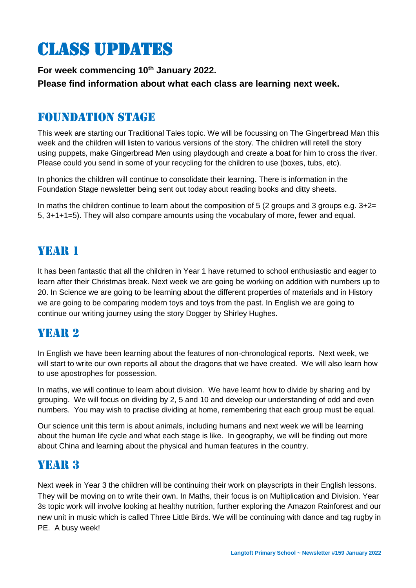# Class updates

**For week commencing 10th January 2022. Please find information about what each class are learning next week.** 

### Foundation stage

This week are starting our Traditional Tales topic. We will be focussing on The Gingerbread Man this week and the children will listen to various versions of the story. The children will retell the story using puppets, make Gingerbread Men using playdough and create a boat for him to cross the river. Please could you send in some of your recycling for the children to use (boxes, tubs, etc).

In phonics the children will continue to consolidate their learning. There is information in the Foundation Stage newsletter being sent out today about reading books and ditty sheets.

In maths the children continue to learn about the composition of 5 (2 groups and 3 groups e.g.  $3+2=$ 5, 3+1+1=5). They will also compare amounts using the vocabulary of more, fewer and equal.

### YEAR 1

It has been fantastic that all the children in Year 1 have returned to school enthusiastic and eager to learn after their Christmas break. Next week we are going be working on addition with numbers up to 20. In Science we are going to be learning about the different properties of materials and in History we are going to be comparing modern toys and toys from the past. In English we are going to continue our writing journey using the story Dogger by Shirley Hughes.

### YEAR 2

In English we have been learning about the features of non-chronological reports. Next week, we will start to write our own reports all about the dragons that we have created. We will also learn how to use apostrophes for possession.

In maths, we will continue to learn about division. We have learnt how to divide by sharing and by grouping. We will focus on dividing by 2, 5 and 10 and develop our understanding of odd and even numbers. You may wish to practise dividing at home, remembering that each group must be equal.

Our science unit this term is about animals, including humans and next week we will be learning about the human life cycle and what each stage is like. In geography, we will be finding out more about China and learning about the physical and human features in the country.

### YEAR 3

Next week in Year 3 the children will be continuing their work on playscripts in their English lessons. They will be moving on to write their own. In Maths, their focus is on Multiplication and Division. Year 3s topic work will involve looking at healthy nutrition, further exploring the Amazon Rainforest and our new unit in music which is called Three Little Birds. We will be continuing with dance and tag rugby in PE. A busy week!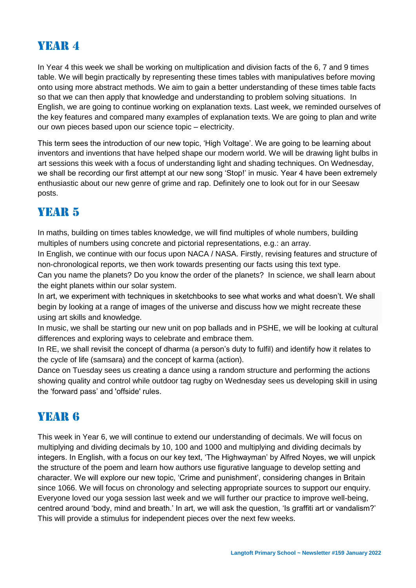### YEAR 4

In Year 4 this week we shall be working on multiplication and division facts of the 6, 7 and 9 times table. We will begin practically by representing these times tables with manipulatives before moving onto using more abstract methods. We aim to gain a better understanding of these times table facts so that we can then apply that knowledge and understanding to problem solving situations. In English, we are going to continue working on explanation texts. Last week, we reminded ourselves of the key features and compared many examples of explanation texts. We are going to plan and write our own pieces based upon our science topic – electricity.

This term sees the introduction of our new topic, 'High Voltage'. We are going to be learning about inventors and inventions that have helped shape our modern world. We will be drawing light bulbs in art sessions this week with a focus of understanding light and shading techniques. On Wednesday, we shall be recording our first attempt at our new song 'Stop!' in music. Year 4 have been extremely enthusiastic about our new genre of grime and rap. Definitely one to look out for in our Seesaw posts.

### YEAR 5

In maths, building on times tables knowledge, we will find multiples of whole numbers, building multiples of numbers using concrete and pictorial representations, e.g.: an array.

In English, we continue with our focus upon NACA / NASA. Firstly, revising features and structure of non-chronological reports, we then work towards presenting our facts using this text type.

Can you name the planets? Do you know the order of the planets? In science, we shall learn about the eight planets within our solar system.

In art, we experiment with techniques in sketchbooks to see what works and what doesn't. We shall begin by looking at a range of images of the universe and discuss how we might recreate these using art skills and knowledge.

In music, we shall be starting our new unit on pop ballads and in PSHE, we will be looking at cultural differences and exploring ways to celebrate and embrace them.

In RE, we shall revisit the concept of dharma (a person's duty to fulfil) and identify how it relates to the cycle of life (samsara) and the concept of karma (action).

Dance on Tuesday sees us creating a dance using a random structure and performing the actions showing quality and control while outdoor tag rugby on Wednesday sees us developing skill in using the 'forward pass' and 'offside' rules.

### YEAR **6**

This week in Year 6, we will continue to extend our understanding of decimals. We will focus on multiplying and dividing decimals by 10, 100 and 1000 and multiplying and dividing decimals by integers. In English, with a focus on our key text, 'The Highwayman' by Alfred Noyes, we will unpick the structure of the poem and learn how authors use figurative language to develop setting and character. We will explore our new topic, 'Crime and punishment', considering changes in Britain since 1066. We will focus on chronology and selecting appropriate sources to support our enquiry. Everyone loved our yoga session last week and we will further our practice to improve well-being, centred around 'body, mind and breath.' In art, we will ask the question, 'Is graffiti art or vandalism?' This will provide a stimulus for independent pieces over the next few weeks.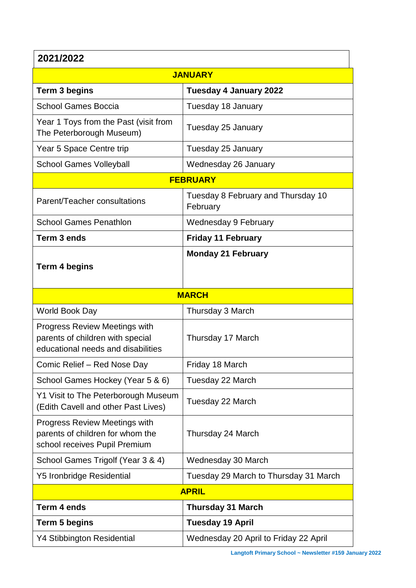### **2021/2022**

| ZUZ IIZUZZ                                                                                                     |                                                |  |  |  |
|----------------------------------------------------------------------------------------------------------------|------------------------------------------------|--|--|--|
| <b>JANUARY</b>                                                                                                 |                                                |  |  |  |
| <b>Term 3 begins</b>                                                                                           | <b>Tuesday 4 January 2022</b>                  |  |  |  |
| <b>School Games Boccia</b>                                                                                     | Tuesday 18 January                             |  |  |  |
| Year 1 Toys from the Past (visit from<br>The Peterborough Museum)                                              | Tuesday 25 January                             |  |  |  |
| Year 5 Space Centre trip                                                                                       | Tuesday 25 January                             |  |  |  |
| <b>School Games Volleyball</b>                                                                                 | Wednesday 26 January                           |  |  |  |
| <b>FEBRUARY</b>                                                                                                |                                                |  |  |  |
| Parent/Teacher consultations                                                                                   | Tuesday 8 February and Thursday 10<br>February |  |  |  |
| <b>School Games Penathlon</b>                                                                                  | <b>Wednesday 9 February</b>                    |  |  |  |
| Term 3 ends                                                                                                    | <b>Friday 11 February</b>                      |  |  |  |
| <b>Term 4 begins</b>                                                                                           | <b>Monday 21 February</b>                      |  |  |  |
| <b>MARCH</b>                                                                                                   |                                                |  |  |  |
| World Book Day                                                                                                 | Thursday 3 March                               |  |  |  |
| <b>Progress Review Meetings with</b><br>parents of children with special<br>educational needs and disabilities | Thursday 17 March                              |  |  |  |
| Comic Relief - Red Nose Day                                                                                    | Friday 18 March                                |  |  |  |
| School Games Hockey (Year 5 & 6)                                                                               | Tuesday 22 March                               |  |  |  |
| Y1 Visit to The Peterborough Museum<br>(Edith Cavell and other Past Lives)                                     | Tuesday 22 March                               |  |  |  |
| <b>Progress Review Meetings with</b><br>parents of children for whom the<br>school receives Pupil Premium      | Thursday 24 March                              |  |  |  |
| School Games Trigolf (Year 3 & 4)                                                                              | Wednesday 30 March                             |  |  |  |
| <b>Y5 Ironbridge Residential</b>                                                                               | Tuesday 29 March to Thursday 31 March          |  |  |  |
| <b>APRIL</b>                                                                                                   |                                                |  |  |  |
| Term 4 ends                                                                                                    | <b>Thursday 31 March</b>                       |  |  |  |
| Term 5 begins                                                                                                  | <b>Tuesday 19 April</b>                        |  |  |  |
| <b>Y4 Stibbington Residential</b>                                                                              | Wednesday 20 April to Friday 22 April          |  |  |  |